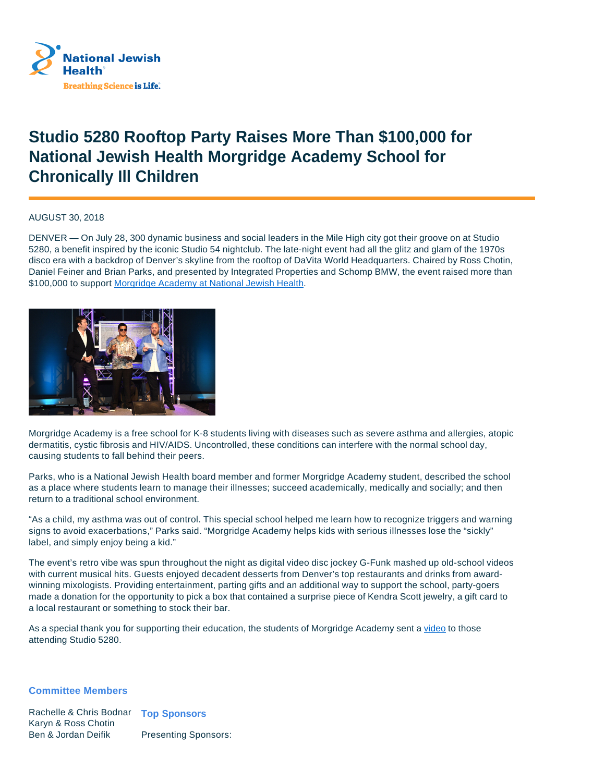

## **Studio 5280 Rooftop Party Raises More Than \$100,000 for National Jewish Health Morgridge Academy School for Chronically Ill Children**

AUGUST 30, 2018

DENVER — On July 28, 300 dynamic business and social leaders in the Mile High city got their groove on at Studio 5280, a benefit inspired by the iconic Studio 54 nightclub. The late-night event had all the glitz and glam of the 1970s disco era with a backdrop of Denver's skyline from the rooftop of DaVita World Headquarters. Chaired by Ross Chotin, Daniel Feiner and Brian Parks, and presented by Integrated Properties and Schomp BMW, the event raised more than \$100,000 to support Morgridge Academy at National Jewish Health.



Morgridge Academy is a free school for K-8 students living with diseases such as severe asthma and allergies, atopic dermatitis, cystic fibrosis and HIV/AIDS. Uncontrolled, these conditions can interfere with the normal school day, causing students to fall behind their peers.

Parks, who is a National Jewish Health board member and former Morgridge Academy student, described the school as a place where students learn to manage their illnesses; succeed academically, medically and socially; and then return to a traditional school environment.

"As a child, my asthma was out of control. This special school helped me learn how to recognize triggers and warning signs to avoid exacerbations," Parks said. "Morgridge Academy helps kids with serious illnesses lose the "sickly" label, and simply enjoy being a kid."

The event's retro vibe was spun throughout the night as digital video disc jockey G-Funk mashed up old-school videos with current musical hits. Guests enjoyed decadent desserts from Denver's top restaurants and drinks from awardwinning mixologists. Providing entertainment, parting gifts and an additional way to support the school, party-goers made a donation for the opportunity to pick a box that contained a surprise piece of Kendra Scott jewelry, a gift card to a local restaurant or something to stock their bar.

As a special thank you for supporting their education, the students of Morgridge Academy sent a video to those attending Studio 5280.

## **Committee Members**

Rachelle & Chris Bodnar **Top Sponsors** Karyn & Ross Chotin Ben & Jordan Deifik Presenting Sponsors: